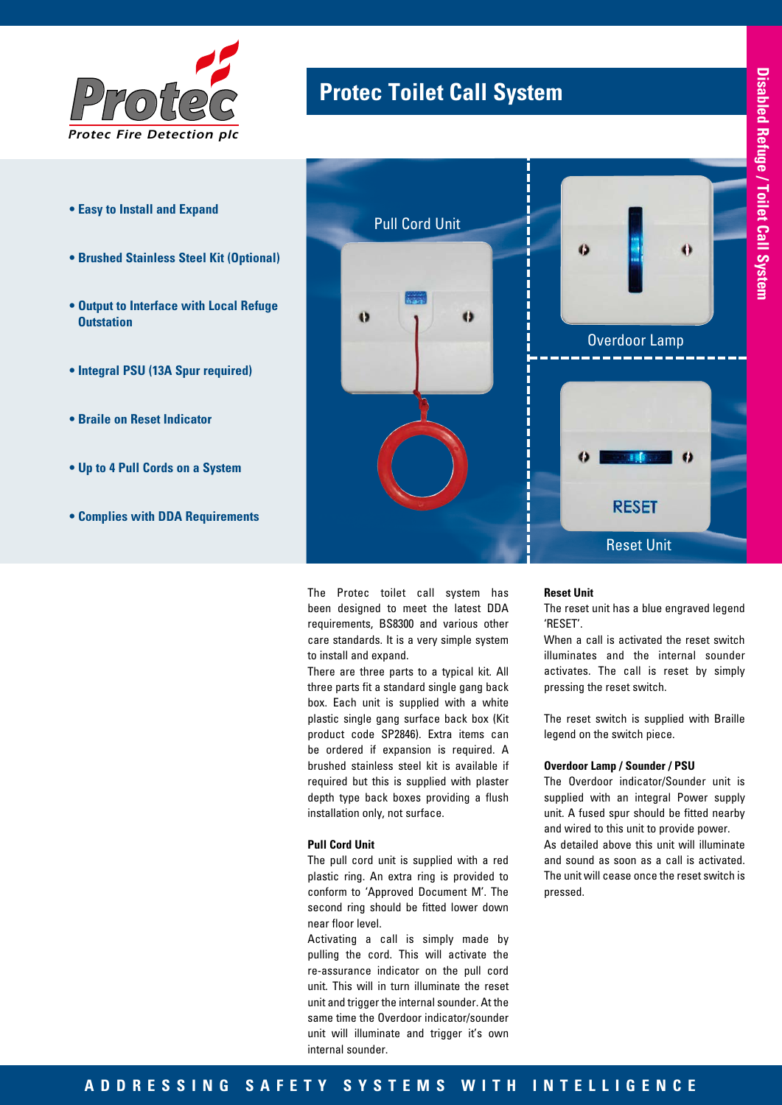

- **Easy to Install and Expand**
- **Brushed Stainless Steel Kit (Optional)**
- **Output to Interface with Local Refuge Outstation**
- **Integral PSU (13A Spur required)**
- **Braile on Reset Indicator**
- **Up to 4 Pull Cords on a System**
- **Complies with DDA Requirements**



The Protec toilet call system has been designed to meet the latest DDA requirements, BS8300 and various other care standards. It is a very simple system to install and expand.

**Protec Toilet Call System** *Protec*

There are three parts to a typical kit. All three parts fit a standard single gang back box. Each unit is supplied with a white plastic single gang surface back box (Kit product code SP2846). Extra items can be ordered if expansion is required. A brushed stainless steel kit is available if required but this is supplied with plaster depth type back boxes providing a flush installation only, not surface.

### **Pull Cord Unit**

The pull cord unit is supplied with a red plastic ring. An extra ring is provided to conform to 'Approved Document M'. The second ring should be fitted lower down near floor level.

Activating a call is simply made by pulling the cord. This will activate the re-assurance indicator on the pull cord unit. This will in turn illuminate the reset unit and trigger the internal sounder. At the same time the Overdoor indicator/sounder unit will illuminate and trigger it's own internal sounder.

### **Reset Unit**

The reset unit has a blue engraved legend 'RESET'.

When a call is activated the reset switch illuminates and the internal sounder activates. The call is reset by simply pressing the reset switch.

The reset switch is supplied with Braille legend on the switch piece.

## **Overdoor Lamp / Sounder / PSU**

The Overdoor indicator/Sounder unit is supplied with an integral Power supply unit. A fused spur should be fitted nearby and wired to this unit to provide power. As detailed above this unit will illuminate and sound as soon as a call is activated. The unit will cease once the reset switch is pressed.